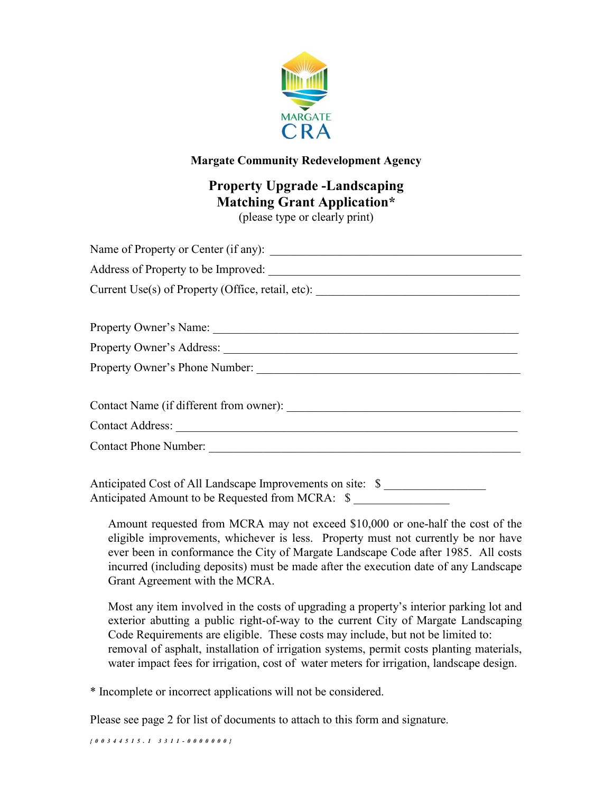

#### Margate Community Redevelopment Agency

# Property Upgrade -Landscaping Matching Grant Application\*

(please type or clearly print)

Anticipated Cost of All Landscape Improvements on site: \$ Anticipated Amount to be Requested from MCRA: \$

Amount requested from MCRA may not exceed \$10,000 or one-half the cost of the eligible improvements, whichever is less. Property must not currently be nor have ever been in conformance the City of Margate Landscape Code after 1985. All costs incurred (including deposits) must be made after the execution date of any Landscape Grant Agreement with the MCRA.

Most any item involved in the costs of upgrading a property's interior parking lot and exterior abutting a public right-of-way to the current City of Margate Landscaping Code Requirements are eligible. These costs may include, but not be limited to: removal of asphalt, installation of irrigation systems, permit costs planting materials, water impact fees for irrigation, cost of water meters for irrigation, landscape design.

\* Incomplete or incorrect applications will not be considered.

Please see page 2 for list of documents to attach to this form and signature.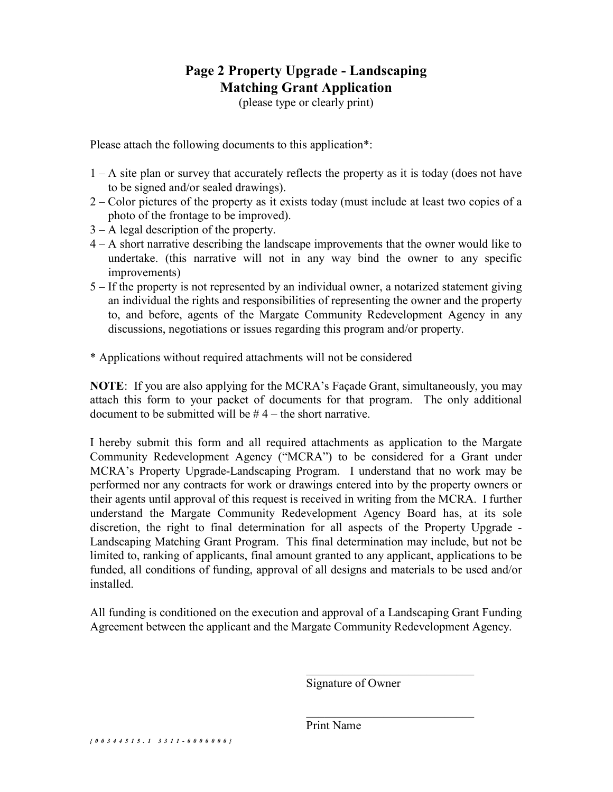# Page 2 Property Upgrade - Landscaping Matching Grant Application

(please type or clearly print)

Please attach the following documents to this application<sup>\*</sup>:

- 1 A site plan or survey that accurately reflects the property as it is today (does not have to be signed and/or sealed drawings).
- 2 Color pictures of the property as it exists today (must include at least two copies of a photo of the frontage to be improved).
- 3 A legal description of the property.
- 4 A short narrative describing the landscape improvements that the owner would like to undertake. (this narrative will not in any way bind the owner to any specific improvements)
- 5 If the property is not represented by an individual owner, a notarized statement giving an individual the rights and responsibilities of representing the owner and the property to, and before, agents of the Margate Community Redevelopment Agency in any discussions, negotiations or issues regarding this program and/or property.
- \* Applications without required attachments will not be considered

NOTE: If you are also applying for the MCRA's Façade Grant, simultaneously, you may attach this form to your packet of documents for that program. The only additional document to be submitted will be  $# 4$  – the short narrative.

I hereby submit this form and all required attachments as application to the Margate Community Redevelopment Agency ("MCRA") to be considered for a Grant under MCRA's Property Upgrade-Landscaping Program. I understand that no work may be performed nor any contracts for work or drawings entered into by the property owners or their agents until approval of this request is received in writing from the MCRA. I further understand the Margate Community Redevelopment Agency Board has, at its sole discretion, the right to final determination for all aspects of the Property Upgrade - Landscaping Matching Grant Program. This final determination may include, but not be limited to, ranking of applicants, final amount granted to any applicant, applications to be funded, all conditions of funding, approval of all designs and materials to be used and/or installed.

All funding is conditioned on the execution and approval of a Landscaping Grant Funding Agreement between the applicant and the Margate Community Redevelopment Agency.

Signature of Owner

Print Name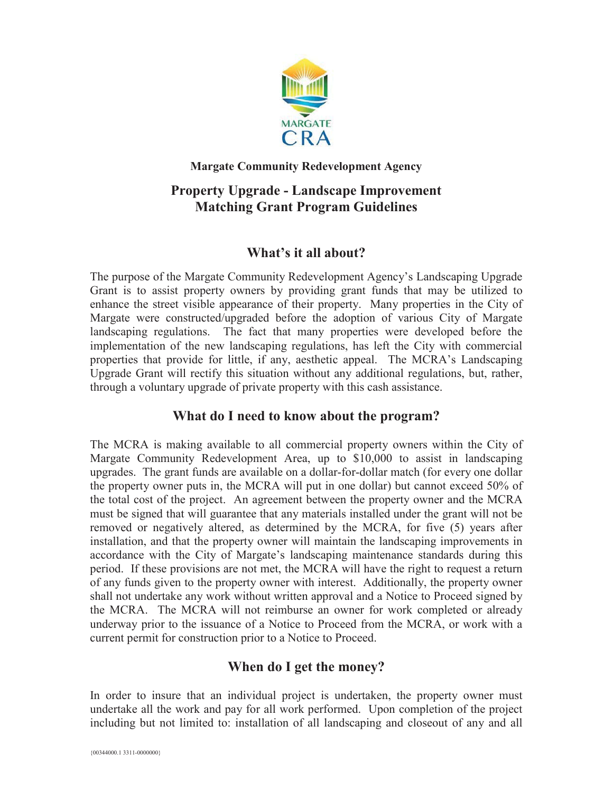

#### **Margate Community Redevelopment Agency**

# **Property Upgrade - Landscape Improvement Matching Grant Program Guidelines**

#### **What's it all about?**

The purpose of the Margate Community Redevelopment Agency's Landscaping Upgrade Grant is to assist property owners by providing grant funds that may be utilized to enhance the street visible appearance of their property. Many properties in the City of Margate were constructed/upgraded before the adoption of various City of Margate landscaping regulations. The fact that many properties were developed before the implementation of the new landscaping regulations, has left the City with commercial properties that provide for little, if any, aesthetic appeal. The MCRA's Landscaping Upgrade Grant will rectify this situation without any additional regulations, but, rather, through a voluntary upgrade of private property with this cash assistance.

#### **What do I need to know about the program?**

The MCRA is making available to all commercial property owners within the City of Margate Community Redevelopment Area, up to \$10,000 to assist in landscaping upgrades. The grant funds are available on a dollar-for-dollar match (for every one dollar the property owner puts in, the MCRA will put in one dollar) but cannot exceed 50% of the total cost of the project. An agreement between the property owner and the MCRA must be signed that will guarantee that any materials installed under the grant will not be removed or negatively altered, as determined by the MCRA, for five (5) years after installation, and that the property owner will maintain the landscaping improvements in accordance with the City of Margate's landscaping maintenance standards during this period. If these provisions are not met, the MCRA will have the right to request a return of any funds given to the property owner with interest. Additionally, the property owner shall not undertake any work without written approval and a Notice to Proceed signed by the MCRA. The MCRA will not reimburse an owner for work completed or already underway prior to the issuance of a Notice to Proceed from the MCRA, or work with a current permit for construction prior to a Notice to Proceed.

## **When do I get the money?**

In order to insure that an individual project is undertaken, the property owner must undertake all the work and pay for all work performed. Upon completion of the project including but not limited to: installation of all landscaping and closeout of any and all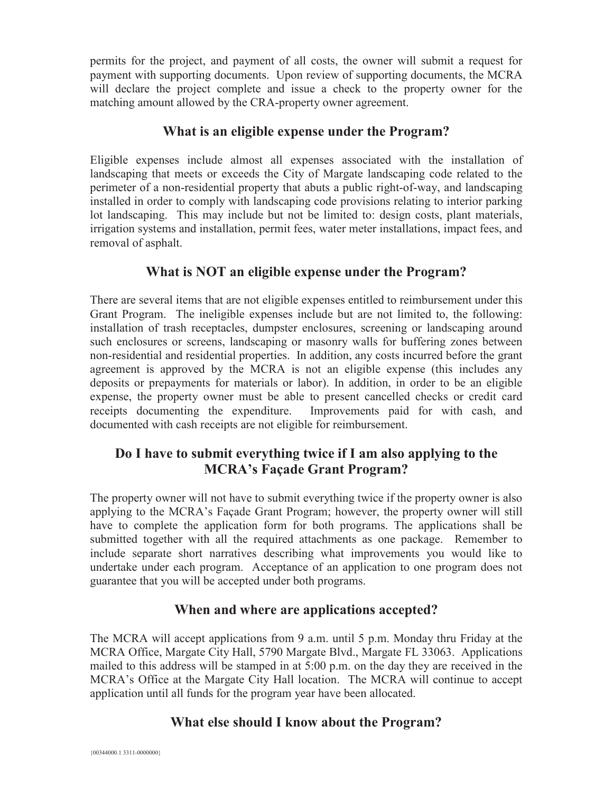permits for the project, and payment of all costs, the owner will submit a request for payment with supporting documents. Upon review of supporting documents, the MCRA will declare the project complete and issue a check to the property owner for the matching amount allowed by the CRA-property owner agreement.

#### **What is an eligible expense under the Program?**

Eligible expenses include almost all expenses associated with the installation of landscaping that meets or exceeds the City of Margate landscaping code related to the perimeter of a non-residential property that abuts a public right-of-way, and landscaping installed in order to comply with landscaping code provisions relating to interior parking lot landscaping. This may include but not be limited to: design costs, plant materials, irrigation systems and installation, permit fees, water meter installations, impact fees, and removal of asphalt.

# **What is NOT an eligible expense under the Program?**

There are several items that are not eligible expenses entitled to reimbursement under this Grant Program. The ineligible expenses include but are not limited to, the following: installation of trash receptacles, dumpster enclosures, screening or landscaping around such enclosures or screens, landscaping or masonry walls for buffering zones between non-residential and residential properties. In addition, any costs incurred before the grant agreement is approved by the MCRA is not an eligible expense (this includes any deposits or prepayments for materials or labor). In addition, in order to be an eligible expense, the property owner must be able to present cancelled checks or credit card receipts documenting the expenditure. Improvements paid for with cash, and documented with cash receipts are not eligible for reimbursement.

# **Do I have to submit everything twice if I am also applying to the MCRA's Façade Grant Program?**

The property owner will not have to submit everything twice if the property owner is also applying to the MCRA's Façade Grant Program; however, the property owner will still have to complete the application form for both programs. The applications shall be submitted together with all the required attachments as one package. Remember to include separate short narratives describing what improvements you would like to undertake under each program. Acceptance of an application to one program does not guarantee that you will be accepted under both programs.

## **When and where are applications accepted?**

The MCRA will accept applications from 9 a.m. until 5 p.m. Monday thru Friday at the MCRA Office, Margate City Hall, 5790 Margate Blvd., Margate FL 33063. Applications mailed to this address will be stamped in at 5:00 p.m. on the day they are received in the MCRA's Office at the Margate City Hall location. The MCRA will continue to accept application until all funds for the program year have been allocated.

# **What else should I know about the Program?**